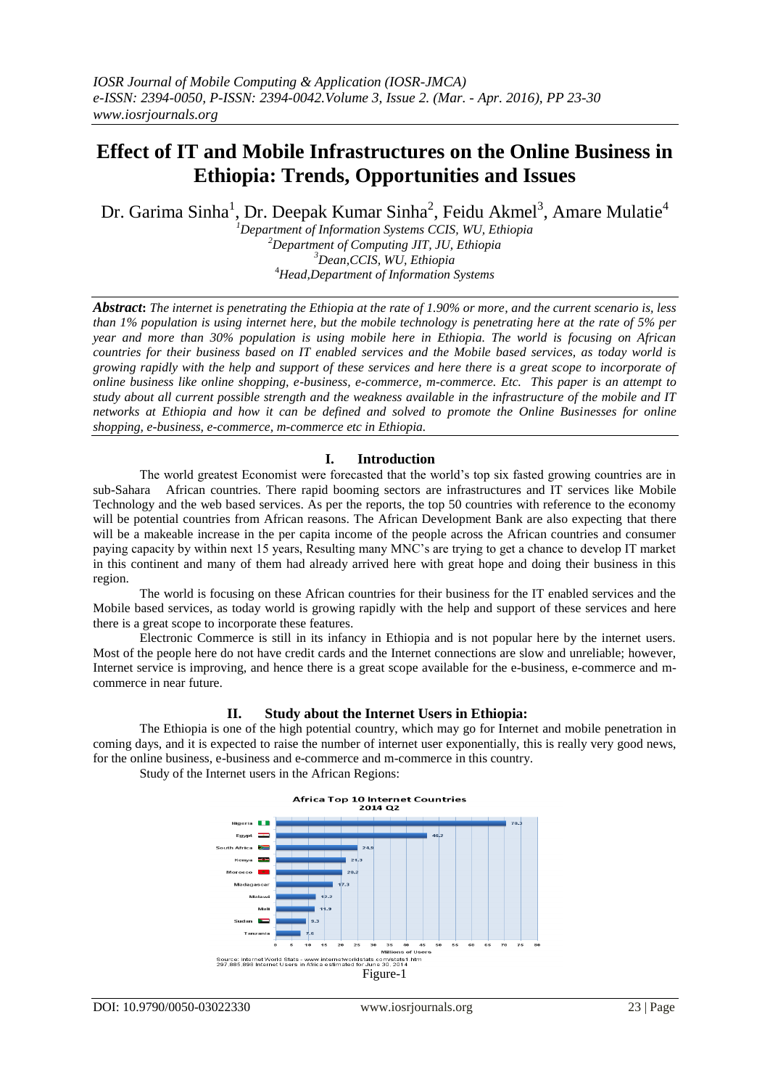# **Effect of IT and Mobile Infrastructures on the Online Business in Ethiopia: Trends, Opportunities and Issues**

Dr. Garima Sinha<sup>1</sup>, Dr. Deepak Kumar Sinha<sup>2</sup>, Feidu Akmel<sup>3</sup>, Amare Mulatie<sup>4</sup>

*Department of Information Systems CCIS, WU, Ethiopia Department of Computing JIT, JU, Ethiopia Dean,CCIS, WU, Ethiopia Head,Department of Information Systems*

*Abstract***:** *The internet is penetrating the Ethiopia at the rate of 1.90% or more, and the current scenario is, less than 1% population is using internet here, but the mobile technology is penetrating here at the rate of 5% per year and more than 30% population is using mobile here in Ethiopia. The world is focusing on African countries for their business based on IT enabled services and the Mobile based services, as today world is growing rapidly with the help and support of these services and here there is a great scope to incorporate of online business like online shopping, e-business, e-commerce, m-commerce. Etc. This paper is an attempt to study about all current possible strength and the weakness available in the infrastructure of the mobile and IT networks at Ethiopia and how it can be defined and solved to promote the Online Businesses for online shopping, e-business, e-commerce, m-commerce etc in Ethiopia.*

## **I. Introduction**

The world greatest Economist were forecasted that the world's top six fasted growing countries are in sub-Sahara African countries. There rapid booming sectors are infrastructures and IT services like Mobile Technology and the web based services. As per the reports, the top 50 countries with reference to the economy will be potential countries from African reasons. The African Development Bank are also expecting that there will be a makeable increase in the per capita income of the people across the African countries and consumer paying capacity by within next 15 years, Resulting many MNC's are trying to get a chance to develop IT market in this continent and many of them had already arrived here with great hope and doing their business in this region.

The world is focusing on these African countries for their business for the IT enabled services and the Mobile based services, as today world is growing rapidly with the help and support of these services and here there is a great scope to incorporate these features.

Electronic Commerce is still in its infancy in Ethiopia and is not popular here by the internet users. Most of the people here do not have credit cards and the Internet connections are slow and unreliable; however, Internet service is improving, and hence there is a great scope available for the e-business, e-commerce and mcommerce in near future.

#### **II. Study about the Internet Users in Ethiopia:**

The Ethiopia is one of the high potential country, which may go for Internet and mobile penetration in coming days, and it is expected to raise the number of internet user exponentially, this is really very good news, for the online business, e-business and e-commerce and m-commerce in this country.

Study of the Internet users in the African Regions:

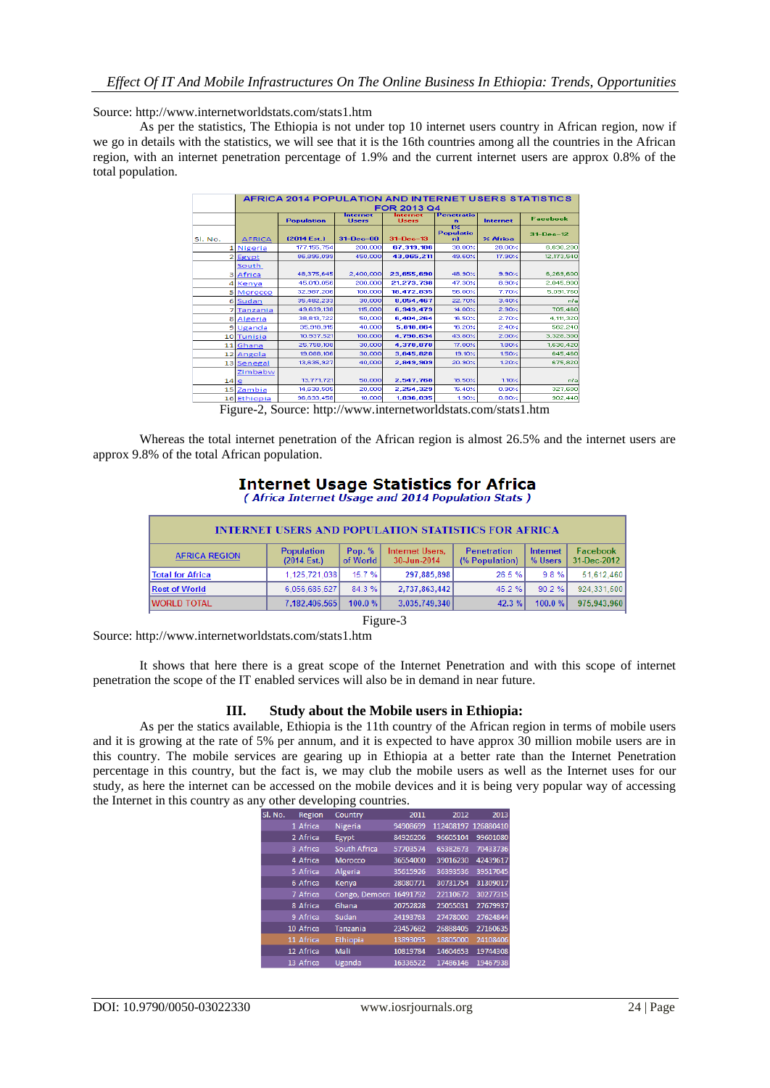Source: http://www.internetworldstats.com/stats1.htm

As per the statistics, The Ethiopia is not under top 10 internet users country in African region, now if we go in details with the statistics, we will see that it is the 16th countries among all the countries in the African region, with an internet penetration percentage of 1.9% and the current internet users are approx 0.8% of the total population.

|                 | <b>AFRICA 2014 POPULATION AND INTERNET USERS STATISTICS</b> |                    |                          |                  |                              |                 |                        |  |  |
|-----------------|-------------------------------------------------------------|--------------------|--------------------------|------------------|------------------------------|-----------------|------------------------|--|--|
|                 |                                                             | <b>FOR 2013 Q4</b> |                          |                  |                              |                 |                        |  |  |
|                 |                                                             | <b>Population</b>  | <b>Internet</b><br>Users | nternet<br>Users | <b>Penetratio</b><br>n       | <b>Internet</b> | <b>Facebook</b>        |  |  |
| SI. No.         | <b>AFRICA</b>                                               | [2014 Est.]        | $31 - Dec -00$           | $31 - Dec - 13$  | 1%<br><b>Populatio</b><br>nl | $\times$ Africa | $31 - \text{Dec} - 12$ |  |  |
|                 | 1 Nigeria                                                   | 177, 155, 754      | 200,000                  | 67.319.186       | 38.00%                       | 28.00%          | 6.630.200              |  |  |
|                 | 2 Egypt                                                     | 86,895,099         | 450,000                  | 43.065.211       | 49.60%                       | 17.90%          | 12.173.540             |  |  |
|                 | South<br>3 Africa                                           | 48.375.645         | 2,400,000                | 23.655.690       | 48.90%                       | 9.90%           | 6,269,600              |  |  |
|                 | 4 Kenya                                                     | 45.010.056         | 200,000                  | 21.273.738       | 47.30%                       | 8.90%           | 2.045.900              |  |  |
|                 | 5 Morocco                                                   | 32,987,206         | 100,000                  | 18,472,835       | 56.00%                       | 7.70%           | 5.091.760              |  |  |
|                 | 6 Sudan                                                     | 35,482,233         | 30,000                   | 8.054.467        | 22.70%                       | 3.40%           | nła                    |  |  |
|                 | 7 Tanzania                                                  | 49.639.138         | 115,000                  | 6.949.479        | 14.00%                       | 2.90%           | 705.460                |  |  |
|                 | 8 Algeria                                                   | 38,813,722         | 50,000                   | 6.404.264        | 16.50%                       | 2.70%           | 4.111.320              |  |  |
|                 | 9Uganda                                                     | 35,918,915         | 40,000                   | 5,818,864        | 16.20%                       | 2.40%           | 562,240                |  |  |
|                 | 10 Tunisia                                                  | 10.937.521         | 100,000                  | 4.790.634        | 43.80%                       | 2.00%           | 3.328.300              |  |  |
|                 | 11 Ghana                                                    | 25.758.108         | 30,000                   | 4.378.878        | 17.00%                       | 1.80%           | 1,630,420              |  |  |
|                 | 12 Angola                                                   | 19,088,106         | 30,000                   | 3,645,828        | 19.10%                       | 1.50%           | 645.460                |  |  |
|                 | 13 Senegal                                                  | 13,635,927         | 40.000                   | 2,849,909        | 20.90%                       | 1.20%           | 675,820                |  |  |
|                 | Zimbabw                                                     |                    |                          |                  |                              |                 |                        |  |  |
| 14 <sup>e</sup> |                                                             | 13.771.721         | 50,000                   | 2.547.768        | 18.50%                       | 1.10%           | nla                    |  |  |
|                 | 15 Zambia                                                   | 14,638,505         | 20,000                   | 2,254,329        | 15.40%                       | 0.90%           | 327,600                |  |  |
|                 | 16 Ethiopia                                                 | 96,633,458         | 10,000                   | 1,836,035        | 1.90%                        | 0.80%           | 902,440                |  |  |

Figure-2, Source: http://www.internetworldstats.com/stats1.htm

Whereas the total internet penetration of the African region is almost 26.5% and the internet users are approx 9.8% of the total African population.

#### **Internet Usage Statistics for Africa** (Africa Internet Usage and 2014 Population Stats)

| <b>INTERNET USERS AND POPULATION STATISTICS FOR AFRICA</b> |                                  |                    |                                       |                                      |                     |                         |  |  |
|------------------------------------------------------------|----------------------------------|--------------------|---------------------------------------|--------------------------------------|---------------------|-------------------------|--|--|
| <b>AFRICA REGION</b>                                       | <b>Population</b><br>(2014 Est.) | Pop. %<br>of World | <b>Internet Users,</b><br>30-Jun-2014 | <b>Penetration</b><br>(% Population) | Internet<br>% Users | Facebook<br>31-Dec-2012 |  |  |
| <b>Total for Africa</b>                                    | 1.125.721.038                    | 15.7%              | 297.885.898                           | 26.5%                                | 9.8%                | 51.612.460              |  |  |
| <b>Rest of World</b>                                       | 6.056.685.527                    | 84.3%              | 2,737,863,442                         | 45.2%                                | 90.2%               | 924.331.500             |  |  |
| <b>WORLD TOTAL</b>                                         | 7.182.406.565                    | 100.0%             | 3.035.749.340                         | 42.3%                                | 100.0%              | 975.943.960             |  |  |

Figure-3

Source: http://www.internetworldstats.com/stats1.htm

It shows that here there is a great scope of the Internet Penetration and with this scope of internet penetration the scope of the IT enabled services will also be in demand in near future.

## **III. Study about the Mobile users in Ethiopia:**

As per the statics available, Ethiopia is the 11th country of the African region in terms of mobile users and it is growing at the rate of 5% per annum, and it is expected to have approx 30 million mobile users are in this country. The mobile services are gearing up in Ethiopia at a better rate than the Internet Penetration percentage in this country, but the fact is, we may club the mobile users as well as the Internet uses for our study, as here the internet can be accessed on the mobile devices and it is being very popular way of accessing the Internet in this country as any other developing countries.

| Sl. No. | Region    | Country                 | 2011     | 2012                | 2013     |
|---------|-----------|-------------------------|----------|---------------------|----------|
|         | 1 Africa  | Nigeria                 | 94908699 | 112408197 126880410 |          |
|         | 2 Africa  | Egypt                   | 84926206 | 96605104            | 99601080 |
|         | 3 Africa  | South Africa            | 57703574 | 65382673            | 70433736 |
|         | 4 Africa  | <b>Morocco</b>          | 36554000 | 39016230            | 42439617 |
|         | 5 Africa  | Algeria                 | 35615926 | 36393536            | 39517045 |
|         | 6 Africa  | Kenya                   | 28080771 | 30731754            | 31309017 |
|         | 7 Africa  | Congo, Democra 16491792 |          | 22110672            | 30277315 |
|         | 8 Africa  | Ghana                   | 20752828 | 25055031            | 27679937 |
|         | 9 Africa  | Sudan                   | 24193763 | 27478000            | 27624844 |
|         | 10 Africa | <b>Tanzania</b>         | 23457682 | 26888405            | 27160635 |
|         | 11 Africa | Ethiopia                | 13893095 | 18805000            | 24108406 |
|         | 12 Africa | Mali                    | 10819784 | 14604653            | 19744308 |
|         | 12 Africa | Llaanda                 | 16226522 | 17496146            | 19467938 |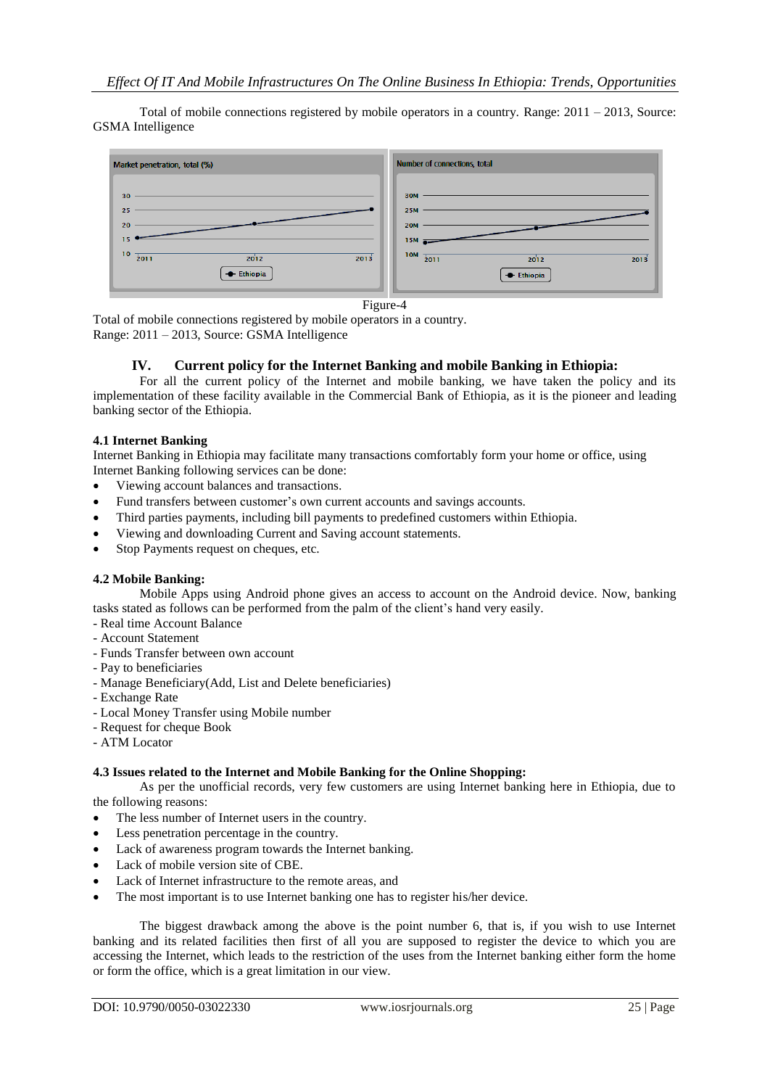Total of mobile connections registered by mobile operators in a country. Range: 2011 – 2013, Source: GSMA Intelligence



Figure-4

Total of mobile connections registered by mobile operators in a country. Range: 2011 – 2013, Source: GSMA Intelligence

### **IV. Current policy for the Internet Banking and mobile Banking in Ethiopia:**

For all the current policy of the Internet and mobile banking, we have taken the policy and its implementation of these facility available in the Commercial Bank of Ethiopia, as it is the pioneer and leading banking sector of the Ethiopia.

#### **4.1 Internet Banking**

Internet Banking in Ethiopia may facilitate many transactions comfortably form your home or office, using Internet Banking following services can be done:

- Viewing account balances and transactions.
- Fund transfers between customer's own current accounts and savings accounts.
- Third parties payments, including bill payments to predefined customers within Ethiopia.
- Viewing and downloading Current and Saving account statements.
- Stop Payments request on cheques, etc.

## **4.2 Mobile Banking:**

Mobile Apps using Android phone gives an access to account on the Android device. Now, banking tasks stated as follows can be performed from the palm of the client's hand very easily.

- Real time Account Balance
- Account Statement
- Funds Transfer between own account
- Pay to beneficiaries
- Manage Beneficiary(Add, List and Delete beneficiaries)
- Exchange Rate
- Local Money Transfer using Mobile number
- Request for cheque Book
- ATM Locator

#### **4.3 Issues related to the Internet and Mobile Banking for the Online Shopping:**

As per the unofficial records, very few customers are using Internet banking here in Ethiopia, due to the following reasons:

- The less number of Internet users in the country.
- Less penetration percentage in the country.
- Lack of awareness program towards the Internet banking.
- Lack of mobile version site of CBE.
- Lack of Internet infrastructure to the remote areas, and
- The most important is to use Internet banking one has to register his/her device.

The biggest drawback among the above is the point number 6, that is, if you wish to use Internet banking and its related facilities then first of all you are supposed to register the device to which you are accessing the Internet, which leads to the restriction of the uses from the Internet banking either form the home or form the office, which is a great limitation in our view.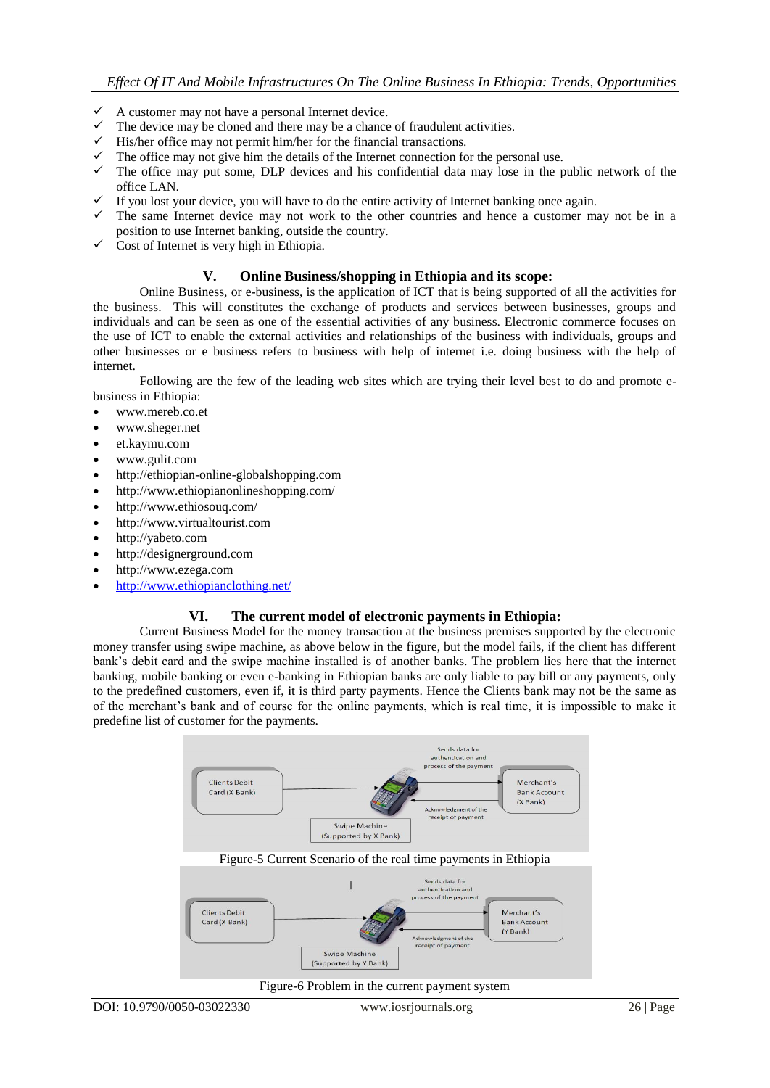- $\checkmark$  A customer may not have a personal Internet device.
- $\checkmark$  The device may be cloned and there may be a chance of fraudulent activities.
- $\checkmark$  His/her office may not permit him/her for the financial transactions.
- $\checkmark$  The office may not give him the details of the Internet connection for the personal use.
- $\checkmark$  The office may put some, DLP devices and his confidential data may lose in the public network of the office LAN.
- $\checkmark$  If you lost your device, you will have to do the entire activity of Internet banking once again.
- $\checkmark$  The same Internet device may not work to the other countries and hence a customer may not be in a position to use Internet banking, outside the country.
- $\checkmark$  Cost of Internet is very high in Ethiopia.

## **V. Online Business/shopping in Ethiopia and its scope:**

Online Business, or e-business, is the application of ICT that is being supported of all the activities for the business. This will constitutes the exchange of products and services between businesses, groups and individuals and can be seen as one of the essential activities of any business. Electronic commerce focuses on the use of ICT to enable the external activities and relationships of the business with individuals, groups and other businesses or e business refers to business with help of internet i.e. doing business with the help of internet.

Following are the few of the leading web sites which are trying their level best to do and promote ebusiness in Ethiopia:

- www.mereb.co.et
- www.sheger.net
- et.kaymu.com
- www.gulit.com
- http://ethiopian-online-globalshopping.com
- http://www.ethiopianonlineshopping.com/
- http://www.ethiosouq.com/
- http://www.virtualtourist.com
- http://yabeto.com
- http://designerground.com
- http://www.ezega.com
- <http://www.ethiopianclothing.net/>

## **VI. The current model of electronic payments in Ethiopia:**

Current Business Model for the money transaction at the business premises supported by the electronic money transfer using swipe machine, as above below in the figure, but the model fails, if the client has different bank's debit card and the swipe machine installed is of another banks. The problem lies here that the internet banking, mobile banking or even e-banking in Ethiopian banks are only liable to pay bill or any payments, only to the predefined customers, even if, it is third party payments. Hence the Clients bank may not be the same as of the merchant's bank and of course for the online payments, which is real time, it is impossible to make it predefine list of customer for the payments.



Figure-6 Problem in the current payment system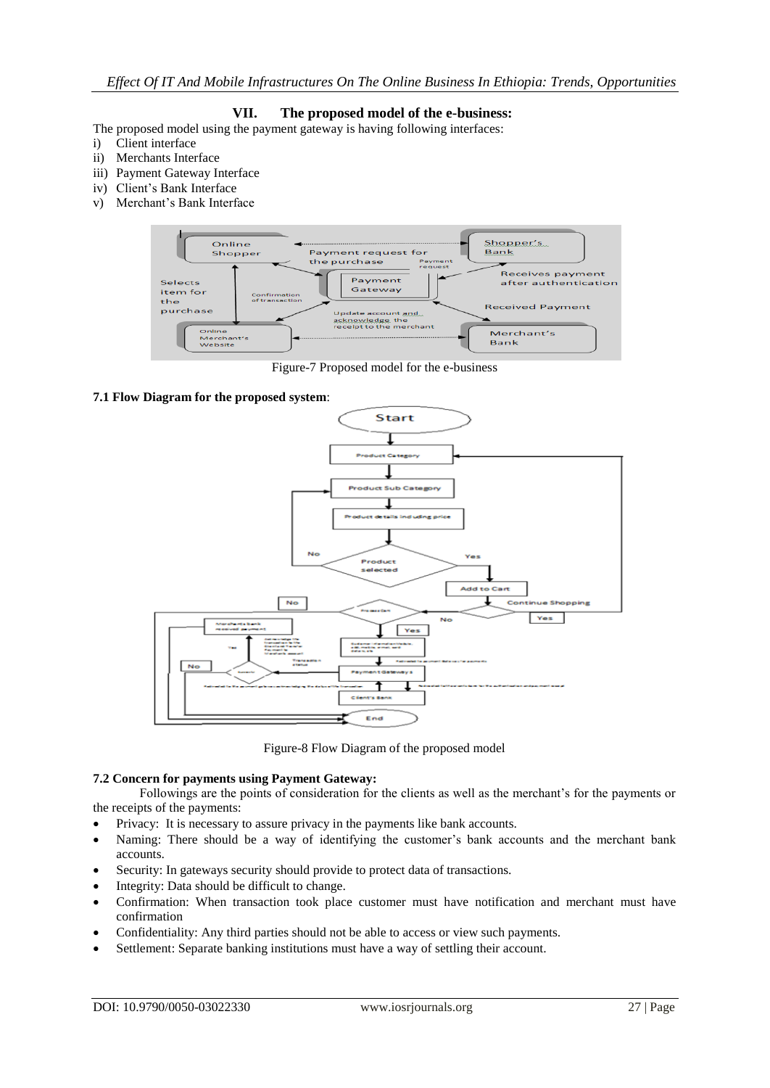# **VII. The proposed model of the e-business:**

The proposed model using the payment gateway is having following interfaces:

- i) Client interface
- ii) Merchants Interface
- iii) Payment Gateway Interface
- iv) Client's Bank Interface
- v) Merchant's Bank Interface



Figure-7 Proposed model for the e-business

### **7.1 Flow Diagram for the proposed system**:



Figure-8 Flow Diagram of the proposed model

## **7.2 Concern for payments using Payment Gateway:**

Followings are the points of consideration for the clients as well as the merchant's for the payments or the receipts of the payments:

- Privacy: It is necessary to assure privacy in the payments like bank accounts.
- Naming: There should be a way of identifying the customer's bank accounts and the merchant bank accounts.
- Security: In gateways security should provide to protect data of transactions.
- Integrity: Data should be difficult to change.
- Confirmation: When transaction took place customer must have notification and merchant must have confirmation
- Confidentiality: Any third parties should not be able to access or view such payments.
- Settlement: Separate banking institutions must have a way of settling their account.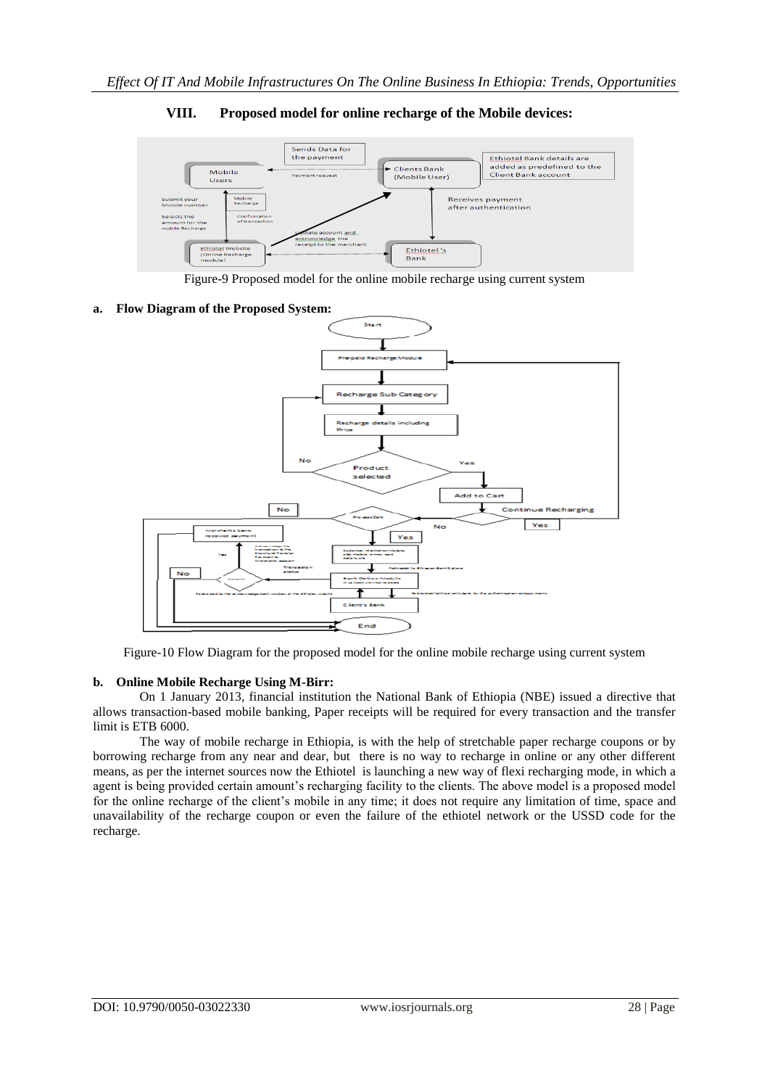

# **VIII. Proposed model for online recharge of the Mobile devices:**

Figure-9 Proposed model for the online mobile recharge using current system

### **a. Flow Diagram of the Proposed System:**



Figure-10 Flow Diagram for the proposed model for the online mobile recharge using current system

#### **b. Online Mobile Recharge Using M-Birr:**

On 1 January 2013, financial institution the National Bank of Ethiopia (NBE) issued a directive that allows transaction-based mobile banking, Paper receipts will be required for every transaction and the transfer limit is ETB 6000.

The way of mobile recharge in Ethiopia, is with the help of stretchable paper recharge coupons or by borrowing recharge from any near and dear, but there is no way to recharge in online or any other different means, as per the internet sources now the Ethiotel is launching a new way of flexi recharging mode, in which a agent is being provided certain amount's recharging facility to the clients. The above model is a proposed model for the online recharge of the client's mobile in any time; it does not require any limitation of time, space and unavailability of the recharge coupon or even the failure of the ethiotel network or the USSD code for the recharge.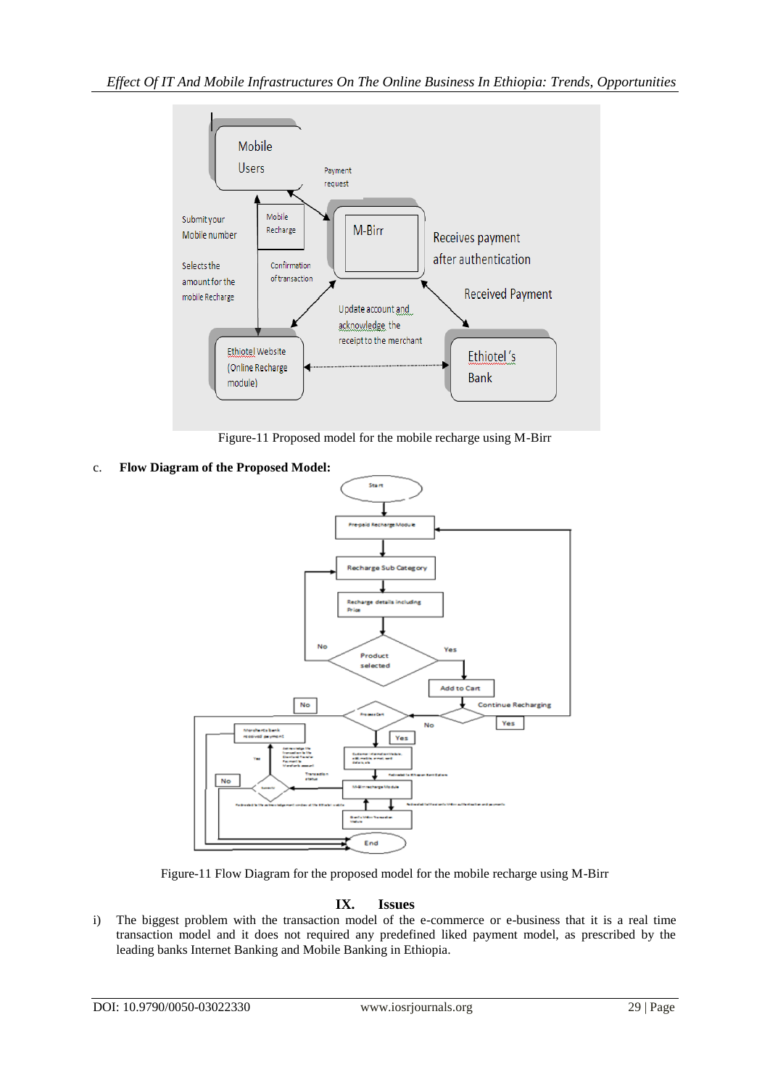

Figure-11 Proposed model for the mobile recharge using M-Birr

c. **Flow Diagram of the Proposed Model:**



Figure-11 Flow Diagram for the proposed model for the mobile recharge using M-Birr

# **IX. Issues**

i) The biggest problem with the transaction model of the e-commerce or e-business that it is a real time transaction model and it does not required any predefined liked payment model, as prescribed by the leading banks Internet Banking and Mobile Banking in Ethiopia.